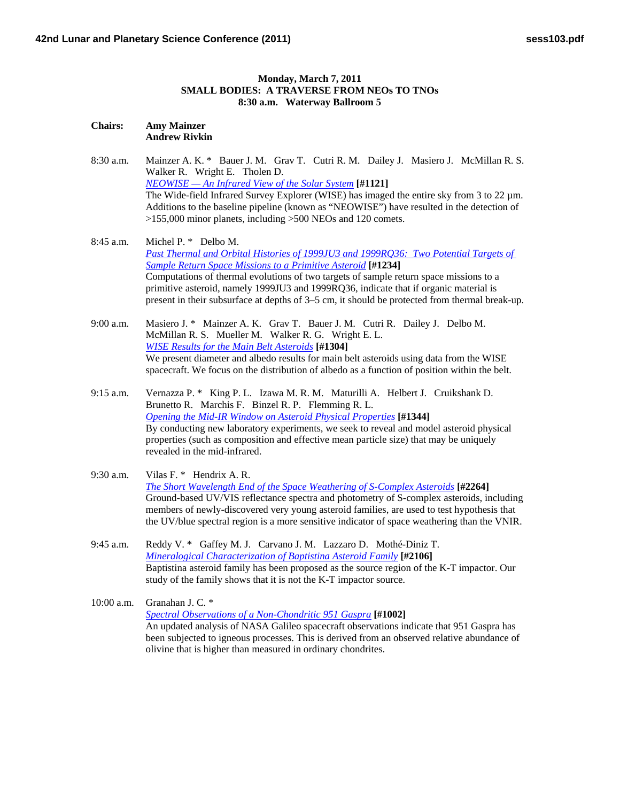## **Monday, March 7, 2011 SMALL BODIES: A TRAVERSE FROM NEOs TO TNOs 8:30 a.m. Waterway Ballroom 5**

## **Chairs: Amy Mainzer Andrew Rivkin**

- 8:30 a.m. Mainzer A. K. \* Bauer J. M. Grav T. Cutri R. M. Dailey J. Masiero J. McMillan R. S. Walker R. Wright E. Tholen D. *[NEOWISE — An Infrared View of the Solar System](http://www.lpi.usra.edu/meetings/lpsc2011/pdf/1121.pdf)* **[#1121]** The Wide-field Infrared Survey Explorer (WISE) has imaged the entire sky from 3 to 22  $\mu$ m. Additions to the baseline pipeline (known as "NEOWISE") have resulted in the detection of >155,000 minor planets, including >500 NEOs and 120 comets.
- 8:45 a.m. Michel P. \* Delbo M. *[Past Thermal and Orbital Histories of 1999JU3 and 1999RQ36: Two Potential Targets of](http://www.lpi.usra.edu/meetings/lpsc2011/pdf/1234.pdf)  [Sample Return Space Missions to a Primitive Asteroid](http://www.lpi.usra.edu/meetings/lpsc2011/pdf/1234.pdf)* **[#1234]** Computations of thermal evolutions of two targets of sample return space missions to a primitive asteroid, namely 1999JU3 and 1999RQ36, indicate that if organic material is present in their subsurface at depths of 3–5 cm, it should be protected from thermal break-up.
- 9:00 a.m. Masiero J. \* Mainzer A. K. Grav T. Bauer J. M. Cutri R. Dailey J. Delbo M. McMillan R. S. Mueller M. Walker R. G. Wright E. L. *[WISE Results for the Main Belt Asteroids](http://www.lpi.usra.edu/meetings/lpsc2011/pdf/1304.pdf)* **[#1304]** We present diameter and albedo results for main belt asteroids using data from the WISE spacecraft. We focus on the distribution of albedo as a function of position within the belt.
- 9:15 a.m. Vernazza P. \* King P. L. Izawa M. R. M. Maturilli A. Helbert J. Cruikshank D. Brunetto R. Marchis F. Binzel R. P. Flemming R. L. *[Opening the Mid-IR Window on Asteroid Physical Properties](http://www.lpi.usra.edu/meetings/lpsc2011/pdf/1344.pdf)* **[#1344]** By conducting new laboratory experiments, we seek to reveal and model asteroid physical properties (such as composition and effective mean particle size) that may be uniquely revealed in the mid-infrared.
- 9:30 a.m. Vilas F. \* Hendrix A. R. *[The Short Wavelength End of the Space Weathering of S-Complex Asteroids](http://www.lpi.usra.edu/meetings/lpsc2011/pdf/2264.pdf)* **[#2264]** Ground-based UV/VIS reflectance spectra and photometry of S-complex asteroids, including members of newly-discovered very young asteroid families, are used to test hypothesis that the UV/blue spectral region is a more sensitive indicator of space weathering than the VNIR.
- 9:45 a.m. Reddy V. \* Gaffey M. J. Carvano J. M. Lazzaro D. Mothé-Diniz T. *[Mineralogical Characterization of Baptistina Asteroid Family](http://www.lpi.usra.edu/meetings/lpsc2011/pdf/2106.pdf)* **[#2106]** Baptistina asteroid family has been proposed as the source region of the K-T impactor. Our study of the family shows that it is not the K-T impactor source.
- 10:00 a.m. Granahan J. C. \* *[Spectral Observations of a Non-Chondritic 951 Gaspra](http://www.lpi.usra.edu/meetings/lpsc2011/pdf/1002.pdf)* **[#1002]** An updated analysis of NASA Galileo spacecraft observations indicate that 951 Gaspra has been subjected to igneous processes. This is derived from an observed relative abundance of olivine that is higher than measured in ordinary chondrites.